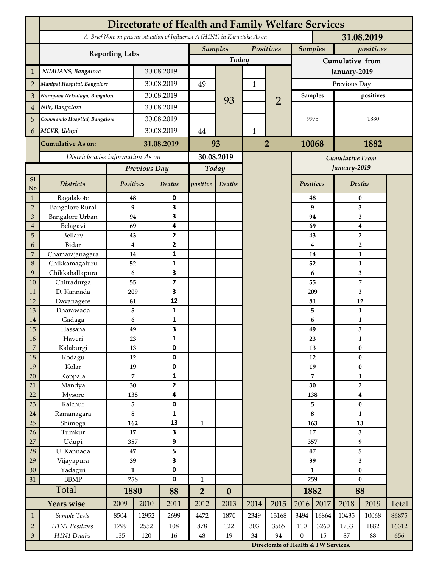|                      | Directorate of Health and Family Welfare Services                                        |                     |            |                         |                |                  |                |                                      |                    |                        |                                           |                |       |  |
|----------------------|------------------------------------------------------------------------------------------|---------------------|------------|-------------------------|----------------|------------------|----------------|--------------------------------------|--------------------|------------------------|-------------------------------------------|----------------|-------|--|
|                      | A Brief Note on present situation of Influenza-A (H1N1) in Karnataka As on<br>31.08.2019 |                     |            |                         |                |                  |                |                                      |                    |                        |                                           |                |       |  |
|                      |                                                                                          |                     |            |                         | <b>Samples</b> |                  |                | Positives                            | <b>Samples</b>     |                        | positives                                 |                |       |  |
|                      | <b>Reporting Labs</b>                                                                    |                     |            |                         |                | Today            |                |                                      | Cumulative from    |                        |                                           |                |       |  |
| $\mathbf{1}$         | NIMHANS, Bangalore                                                                       | 30.08.2019          |            |                         |                | $\mathbf{1}$     |                | January-2019                         |                    |                        |                                           |                |       |  |
| $\overline{2}$       | Manipal Hospital, Bangalore                                                              |                     |            | 30.08.2019              |                |                  |                |                                      | Previous Day       |                        |                                           |                |       |  |
| 3                    | Narayana Netralaya, Bangalore                                                            |                     | 30.08.2019 |                         |                |                  |                |                                      | <b>Samples</b>     |                        | positives                                 |                |       |  |
| $\overline{4}$       | NIV, Bangalore                                                                           |                     |            | 30.08.2019              |                | 93               |                | $\overline{2}$                       | 9975               |                        |                                           |                |       |  |
| 5                    | Commando Hospital, Bangalore                                                             |                     | 30.08.2019 |                         |                |                  |                |                                      |                    |                        | 1880                                      |                |       |  |
| 6                    | MCVR, Udupi                                                                              |                     | 30.08.2019 |                         | 44             |                  | $\mathbf{1}$   |                                      |                    |                        |                                           |                |       |  |
|                      |                                                                                          |                     |            |                         |                |                  |                |                                      |                    |                        |                                           |                |       |  |
|                      | <b>Cumulative As on:</b>                                                                 |                     | 31.08.2019 |                         | 93             |                  | $\overline{2}$ |                                      | 1882<br>10068      |                        |                                           |                |       |  |
|                      | Districts wise information As on                                                         |                     |            | 30.08.2019              |                |                  |                |                                      |                    | <b>Cumulative From</b> |                                           |                |       |  |
|                      |                                                                                          | Previous Day        |            | Today                   |                |                  |                |                                      |                    |                        | January-2019                              |                |       |  |
| S1<br>N <sub>o</sub> | <b>Districts</b>                                                                         | Positives           |            | <b>Deaths</b>           | positive       | <b>Deaths</b>    |                |                                      | Positives          |                        |                                           | Deaths         |       |  |
| $\mathbf{1}$         | Bagalakote                                                                               | 48                  |            | $\pmb{0}$               |                |                  |                |                                      |                    | 48                     | $\pmb{0}$                                 |                |       |  |
| $\sqrt{2}$           | <b>Bangalore Rural</b>                                                                   |                     | 9          | 3                       |                |                  |                |                                      |                    | 9                      | 3                                         |                |       |  |
| 3                    | Bangalore Urban                                                                          | 94                  |            | 3                       |                |                  |                |                                      |                    | 94                     | 3                                         |                |       |  |
| $\overline{4}$<br>5  | Belagavi<br>Bellary                                                                      | 69                  | 43         | 4<br>2                  |                |                  |                |                                      |                    | 69<br>43               | 4                                         |                |       |  |
| 6                    | Bidar                                                                                    |                     | 4          | $\mathbf{2}$            |                |                  |                |                                      |                    | $\bf{4}$               | $\overline{2}$<br>$\overline{\mathbf{2}}$ |                |       |  |
| $\overline{7}$       | Chamarajanagara                                                                          | 14                  |            | 1                       |                |                  |                |                                      | 14                 |                        |                                           | 1              |       |  |
| 8                    | Chikkamagaluru                                                                           |                     | 52         | 1                       |                |                  |                |                                      |                    | 52                     |                                           | 1              |       |  |
| 9                    | Chikkaballapura                                                                          |                     | 6          | 3                       |                |                  |                |                                      |                    | 6                      |                                           | 3              |       |  |
| 10                   | Chitradurga                                                                              | 55                  |            | 7                       |                |                  |                |                                      |                    | 55                     |                                           | $\overline{7}$ |       |  |
| 11                   | D. Kannada                                                                               | 209                 |            | 3                       |                |                  |                |                                      | 209                |                        | 3                                         |                |       |  |
| 12                   | Davanagere                                                                               | 81                  |            | 12<br>$\mathbf{1}$      |                |                  |                |                                      | 81<br>5            |                        | 12<br>$\mathbf{1}$                        |                |       |  |
| 13<br>14             | Dharawada<br>Gadaga                                                                      |                     | 5<br>6     | 1                       |                |                  |                |                                      |                    | 6                      | 1                                         |                |       |  |
| 15                   | Hassana                                                                                  | 49                  |            | 3                       |                |                  |                |                                      |                    | 49                     | $\mathbf{3}$                              |                |       |  |
| <b>16</b>            | Haveri                                                                                   |                     | 23         | 1                       |                |                  |                |                                      |                    | 23                     |                                           | 1              |       |  |
| 17                   | Kalaburgi                                                                                | 13                  |            | $\mathbf 0$             |                |                  |                |                                      |                    | 13                     |                                           | $\pmb{0}$      |       |  |
| 18                   | Kodagu                                                                                   | 12                  |            | $\mathbf 0$             |                |                  |                |                                      |                    | 12                     |                                           | $\pmb{0}$      |       |  |
| 19                   | Kolar                                                                                    | 19                  |            | $\pmb{0}$               |                |                  |                |                                      | 19                 |                        | $\pmb{0}$                                 |                |       |  |
| 20                   | Koppala                                                                                  | 7<br>30             |            | 1                       |                |                  |                |                                      | $\overline{7}$     |                        | $\mathbf{1}$                              |                |       |  |
| $21\,$<br>22         | Mandya<br>Mysore                                                                         |                     |            | $\mathbf 2$<br>4        |                |                  |                |                                      | 30<br>138          |                        | $\mathbf{2}$<br>$\bf{4}$                  |                |       |  |
| 23                   | Raichur                                                                                  | 138<br>5            |            | $\pmb{0}$               |                |                  |                |                                      | 5                  |                        | $\bf{0}$                                  |                |       |  |
| $24\,$               | Ramanagara                                                                               | 8                   |            | 1                       |                |                  |                |                                      | 8                  |                        | $\mathbf{1}$                              |                |       |  |
| 25                   | Shimoga                                                                                  | 162                 |            | 13                      | $\mathbf{1}$   |                  |                |                                      | 163                |                        | 13                                        |                |       |  |
| 26                   | Tumkur                                                                                   | 17                  |            | $\overline{\mathbf{3}}$ |                |                  |                |                                      | 17                 |                        | $\mathbf{3}$                              |                |       |  |
| 27                   | Udupi                                                                                    | 357                 |            | 9                       |                |                  |                |                                      | 357                |                        | $\boldsymbol{9}$                          |                |       |  |
| 28                   | U. Kannada                                                                               | $\bf 47$            |            | 5                       |                |                  |                |                                      | 47                 |                        | 5                                         |                |       |  |
| 29                   | Vijayapura                                                                               | 39                  |            | 3<br>$\mathbf 0$        |                |                  |                |                                      | 39<br>$\mathbf{1}$ |                        | $\overline{\mathbf{3}}$                   |                |       |  |
| $30\,$<br>31         | Yadagiri<br><b>BBMP</b>                                                                  | $\mathbf{1}$<br>258 |            | $\mathbf 0$             | $\mathbf{1}$   |                  |                |                                      | 259                |                        | $\bf{0}$<br>$\bf{0}$                      |                |       |  |
|                      | Total                                                                                    | 1880                |            | 88                      | $\overline{2}$ | $\boldsymbol{0}$ |                |                                      |                    | 1882                   |                                           | 88             |       |  |
|                      | <b>Years</b> wise                                                                        | 2009                | 2010       | 2011                    | 2012           | 2013             | 2014           | 2015                                 | 2016               | 2017                   | 2018                                      | 2019           | Total |  |
| $\mathbf{1}$         | Sample Tests                                                                             | 8504                | 12952      | 2699                    | 4472           | 1870             | 2349           | 13168                                | 3494               | 16864                  | 10435                                     | 10068          | 86875 |  |
| $\overline{2}$       | H1N1 Positives                                                                           | 1799                | 2552       | 108                     | 878            | 122              | 303            | 3565                                 | 110                | 3260                   | 1733                                      | 1882           | 16312 |  |
| $\mathfrak{Z}$       | H1N1 Deaths                                                                              | 135                 | 120        | $16\,$                  | $\rm 48$       | 19               | 34             | 94                                   | $\mathbf{0}$       | 15                     | 87                                        | 88             | 656   |  |
|                      |                                                                                          |                     |            |                         |                |                  |                | Directorate of Health & FW Services. |                    |                        |                                           |                |       |  |